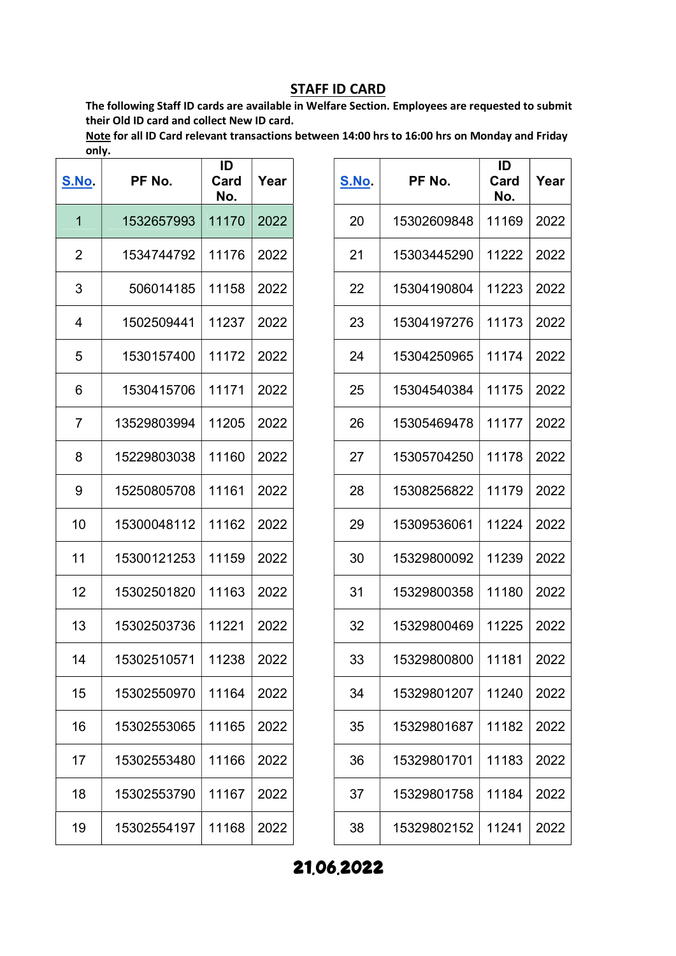The following Staff ID cards are available in Welfare Section. Employees are requested to submit their Old ID card and collect New ID card.

Note for all ID Card relevant transactions between 14:00 hrs to 16:00 hrs on Monday and Friday only.

| <u>S.No.</u>   | PF No.      | ID<br>Card<br>No. | Year |
|----------------|-------------|-------------------|------|
| 1              | 1532657993  | 11170             | 2022 |
| $\overline{2}$ | 1534744792  | 11176             | 2022 |
| 3              | 506014185   | 11158             | 2022 |
| 4              | 1502509441  | 11237             | 2022 |
| 5              | 1530157400  | 11172             | 2022 |
| 6              | 1530415706  | 11171             | 2022 |
| 7              | 13529803994 | 11205             | 2022 |
| 8              | 15229803038 | 11160             | 2022 |
| 9              | 15250805708 | 11161             | 2022 |
| 10             | 15300048112 | 11162             | 2022 |
| 11             | 15300121253 | 11159             | 2022 |
| 12             | 15302501820 | 11163             | 2022 |
| 13             | 15302503736 | 11221             | 2022 |
| 14             | 15302510571 | 11238             | 2022 |
| 15             | 15302550970 | 11164             | 2022 |
| 16             | 15302553065 | 11165             | 2022 |
| 17             | 15302553480 | 11166             | 2022 |
| 18             | 15302553790 | 11167             | 2022 |
| 19             | 15302554197 | 11168             | 2022 |

| S.No. | PF No.      | ID<br>Card<br>No. | Year |
|-------|-------------|-------------------|------|
| 20    | 15302609848 | 11169             | 2022 |
| 21    | 15303445290 | 11222             | 2022 |
| 22    | 15304190804 | 11223             | 2022 |
| 23    | 15304197276 | 11173             | 2022 |
| 24    | 15304250965 | 11174             | 2022 |
| 25    | 15304540384 | 11175             | 2022 |
| 26    | 15305469478 | 11177             | 2022 |
| 27    | 15305704250 | 11178             | 2022 |
| 28    | 15308256822 | 11179             | 2022 |
| 29    | 15309536061 | 11224             | 2022 |
| 30    | 15329800092 | 11239             | 2022 |
| 31    | 15329800358 | 11180             | 2022 |
| 32    | 15329800469 | 11225             | 2022 |
| 33    | 15329800800 | 11181             | 2022 |
| 34    | 15329801207 | 11240             | 2022 |
| 35    | 15329801687 | 11182             | 2022 |
| 36    | 15329801701 | 11183             | 2022 |
| 37    | 15329801758 | 11184             | 2022 |
| 38    | 15329802152 | 11241             | 2022 |

21.06.2022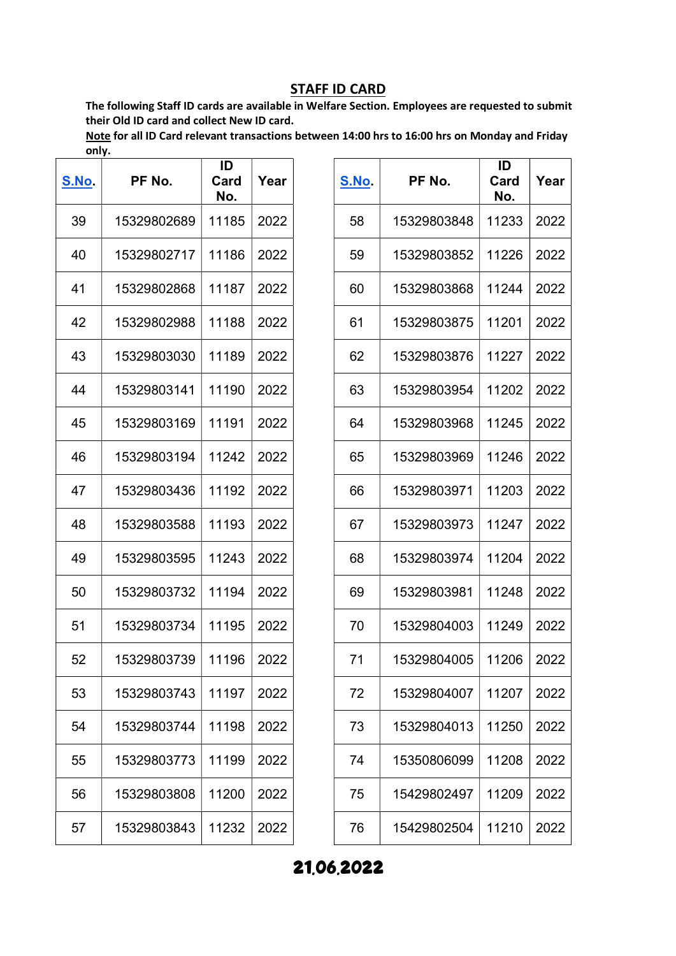The following Staff ID cards are available in Welfare Section. Employees are requested to submit their Old ID card and collect New ID card.

Note for all ID Card relevant transactions between 14:00 hrs to 16:00 hrs on Monday and Friday only.

| <u>S.No.</u> | PF No.      | ID<br>Card<br>No. | Year |
|--------------|-------------|-------------------|------|
| 39           | 15329802689 | 11185             | 2022 |
| 40           | 15329802717 | 11186             | 2022 |
| 41           | 15329802868 | 11187             | 2022 |
| 42           | 15329802988 | 11188             | 2022 |
| 43           | 15329803030 | 11189             | 2022 |
| 44           | 15329803141 | 11190             | 2022 |
| 45           | 15329803169 | 11191             | 2022 |
| 46           | 15329803194 | 11242             | 2022 |
| 47           | 15329803436 | 11192             | 2022 |
| 48           | 15329803588 | 11193             | 2022 |
| 49           | 15329803595 | 11243             | 2022 |
| 50           | 15329803732 | 11194             | 2022 |
| 51           | 15329803734 | 11195             | 2022 |
| 52           | 15329803739 | 11196             | 2022 |
| 53           | 15329803743 | 11197             | 2022 |
| 54           | 15329803744 | 11198             | 2022 |
| 55           | 15329803773 | 11199             | 2022 |
| 56           | 15329803808 | 11200             | 2022 |
| 57           | 15329803843 | 11232             | 2022 |

| <u>S.No.</u> | PF No.      | ID<br>Card<br>No. | Year |
|--------------|-------------|-------------------|------|
| 58           | 15329803848 | 11233             | 2022 |
| 59           | 15329803852 | 11226             | 2022 |
| 60           | 15329803868 | 11244             | 2022 |
| 61           | 15329803875 | 11201             | 2022 |
| 62           | 15329803876 | 11227             | 2022 |
| 63           | 15329803954 | 11202             | 2022 |
| 64           | 15329803968 | 11245             | 2022 |
| 65           | 15329803969 | 11246             | 2022 |
| 66           | 15329803971 | 11203             | 2022 |
| 67           | 15329803973 | 11247             | 2022 |
| 68           | 15329803974 | 11204             | 2022 |
| 69           | 15329803981 | 11248             | 2022 |
| 70           | 15329804003 | 11249             | 2022 |
| 71           | 15329804005 | 11206             | 2022 |
| 72           | 15329804007 | 11207             | 2022 |
| 73           | 15329804013 | 11250             | 2022 |
| 74           | 15350806099 | 11208             | 2022 |
| 75           | 15429802497 | 11209             | 2022 |
| 76           | 15429802504 | 11210             | 2022 |

21.06.2022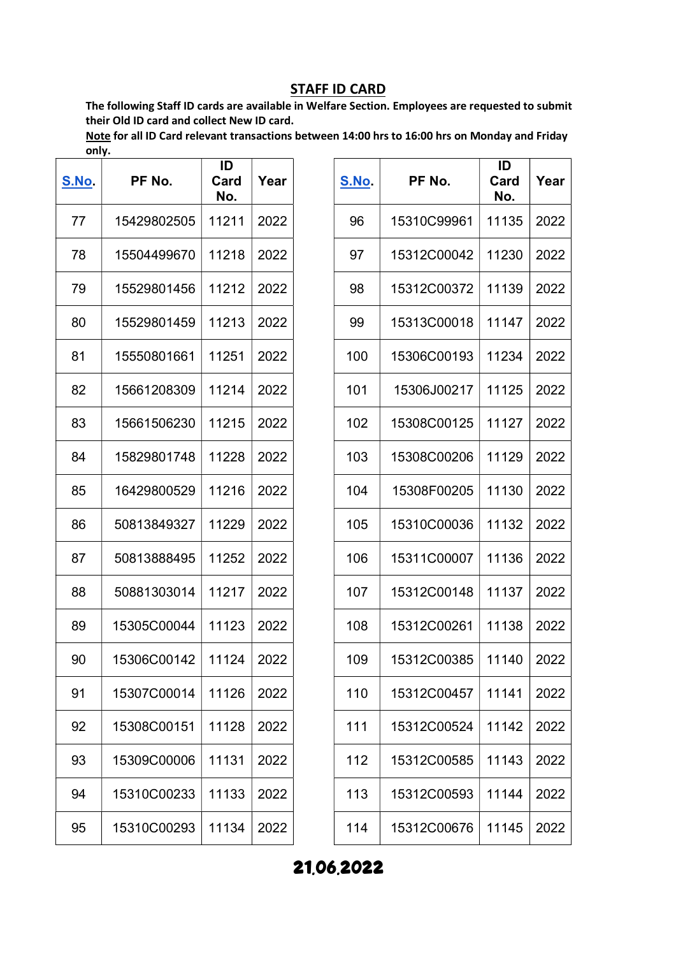The following Staff ID cards are available in Welfare Section. Employees are requested to submit their Old ID card and collect New ID card.

Note for all ID Card relevant transactions between 14:00 hrs to 16:00 hrs on Monday and Friday only.

| <u>S.No</u> . | PF No.      | ID<br>Card<br>No. | Year |
|---------------|-------------|-------------------|------|
| 77            | 15429802505 | 11211             | 2022 |
| 78            | 15504499670 | 11218             | 2022 |
| 79            | 15529801456 | 11212             | 2022 |
| 80            | 15529801459 | 11213             | 2022 |
| 81            | 15550801661 | 11251             | 2022 |
| 82            | 15661208309 | 11214             | 2022 |
| 83            | 15661506230 | 11215             | 2022 |
| 84            | 15829801748 | 11228             | 2022 |
| 85            | 16429800529 | 11216             | 2022 |
| 86            | 50813849327 | 11229             | 2022 |
| 87            | 50813888495 | 11252             | 2022 |
| 88            | 50881303014 | 11217             | 2022 |
| 89            | 15305C00044 | 11123             | 2022 |
| 90            | 15306C00142 | 11124             | 2022 |
| 91            | 15307C00014 | 11126             | 2022 |
| 92            | 15308C00151 | 11128             | 2022 |
| 93            | 15309C00006 | 11131             | 2022 |
| 94            | 15310C00233 | 11133             | 2022 |
| 95            | 15310C00293 | 11134             | 2022 |

| <b>S.No.</b> | PF No.      | ID<br>Card<br>No. | Year |
|--------------|-------------|-------------------|------|
| 96           | 15310C99961 | 11135             | 2022 |
| 97           | 15312C00042 | 11230             | 2022 |
| 98           | 15312C00372 | 11139             | 2022 |
| 99           | 15313C00018 | 11147             | 2022 |
| 100          | 15306C00193 | 11234             | 2022 |
| 101          | 15306J00217 | 11125             | 2022 |
| 102          | 15308C00125 | 11127             | 2022 |
| 103          | 15308C00206 | 11129             | 2022 |
| 104          | 15308F00205 | 11130             | 2022 |
| 105          | 15310C00036 | 11132             | 2022 |
| 106          | 15311C00007 | 11136             | 2022 |
| 107          | 15312C00148 | 11137             | 2022 |
| 108          | 15312C00261 | 11138             | 2022 |
| 109          | 15312C00385 | 11140             | 2022 |
| 110          | 15312C00457 | 11141             | 2022 |
| 111          | 15312C00524 | 11142             | 2022 |
| 112          | 15312C00585 | 11143             | 2022 |
| 113          | 15312C00593 | 11144             | 2022 |
| 114          | 15312C00676 | 11145             | 2022 |

21.06.2022